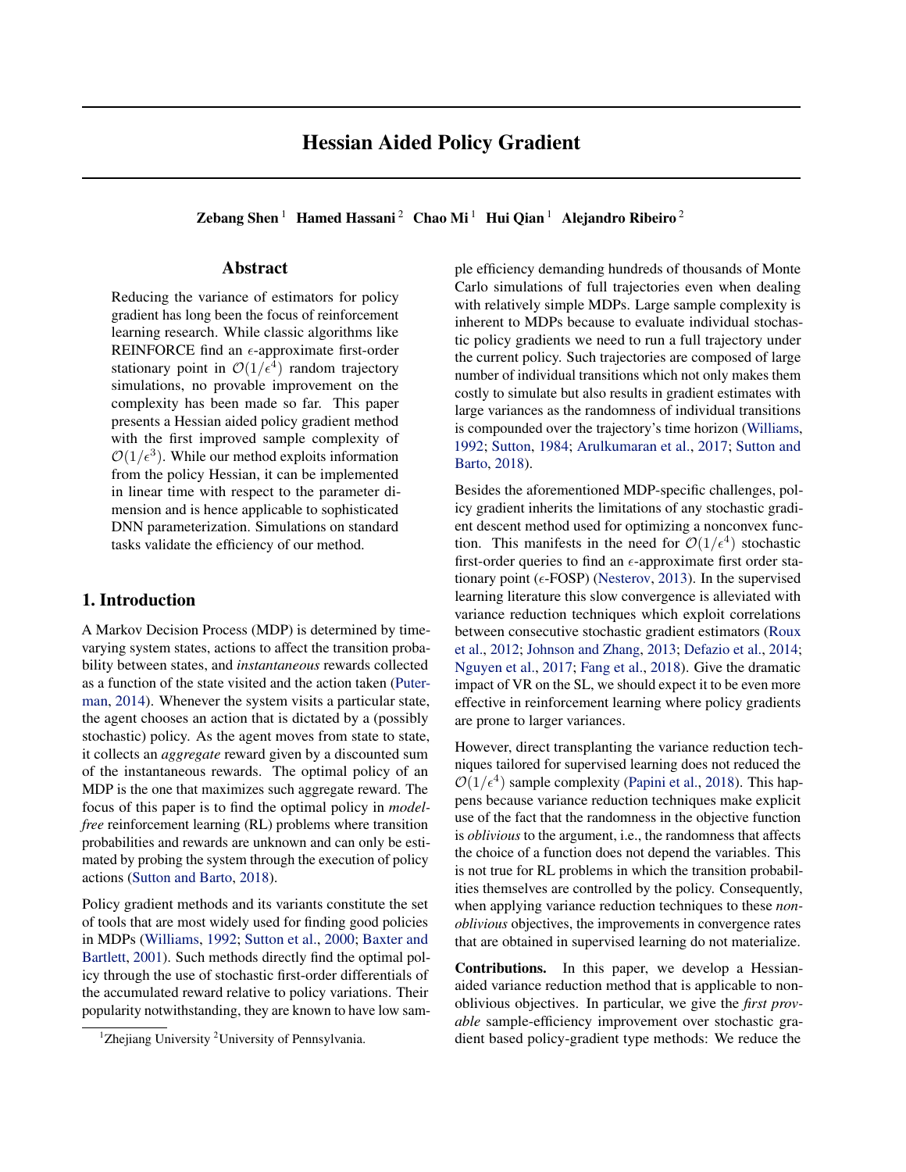Zebang Shen<sup>1</sup> Hamed Hassani<sup>2</sup> Chao Mi<sup>1</sup> Hui Qian<sup>1</sup> Alejandro Ribeiro<sup>2</sup>

# Abstract

Reducing the variance of estimators for policy gradient has long been the focus of reinforcement learning research. While classic algorithms like REINFORCE find an  $\epsilon$ -approximate first-order stationary point in  $\mathcal{O}(1/\epsilon^4)$  random trajectory simulations, no provable improvement on the complexity has been made so far. This paper presents a Hessian aided policy gradient method with the first improved sample complexity of  $\mathcal{O}(1/\epsilon^3)$ . While our method exploits information from the policy Hessian, it can be implemented in linear time with respect to the parameter dimension and is hence applicable to sophisticated DNN parameterization. Simulations on standard tasks validate the efficiency of our method.

# 1. Introduction

A Markov Decision Process (MDP) is determined by timevarying system states, actions to affect the transition probability between states, and *instantaneous* rewards collected as a function of the state visited and the action taken [\(Puter](#page-8-0)[man,](#page-8-0) [2014\)](#page-8-0). Whenever the system visits a particular state, the agent chooses an action that is dictated by a (possibly stochastic) policy. As the agent moves from state to state, it collects an *aggregate* reward given by a discounted sum of the instantaneous rewards. The optimal policy of an MDP is the one that maximizes such aggregate reward. The focus of this paper is to find the optimal policy in *modelfree* reinforcement learning (RL) problems where transition probabilities and rewards are unknown and can only be estimated by probing the system through the execution of policy actions [\(Sutton and Barto,](#page-8-0) [2018\)](#page-8-0).

Policy gradient methods and its variants constitute the set of tools that are most widely used for finding good policies in MDPs [\(Williams,](#page-9-0) [1992;](#page-9-0) [Sutton et al.,](#page-8-0) [2000;](#page-8-0) [Baxter and](#page-8-0) [Bartlett,](#page-8-0) [2001\)](#page-8-0). Such methods directly find the optimal policy through the use of stochastic first-order differentials of the accumulated reward relative to policy variations. Their popularity notwithstanding, they are known to have low sample efficiency demanding hundreds of thousands of Monte Carlo simulations of full trajectories even when dealing with relatively simple MDPs. Large sample complexity is inherent to MDPs because to evaluate individual stochastic policy gradients we need to run a full trajectory under the current policy. Such trajectories are composed of large number of individual transitions which not only makes them costly to simulate but also results in gradient estimates with large variances as the randomness of individual transitions is compounded over the trajectory's time horizon [\(Williams,](#page-9-0) [1992;](#page-9-0) [Sutton,](#page-8-0) [1984;](#page-8-0) [Arulkumaran et al.,](#page-8-0) [2017;](#page-8-0) [Sutton and](#page-8-0) [Barto,](#page-8-0) [2018\)](#page-8-0).

Besides the aforementioned MDP-specific challenges, policy gradient inherits the limitations of any stochastic gradient descent method used for optimizing a nonconvex function. This manifests in the need for  $\mathcal{O}(1/\epsilon^4)$  stochastic first-order queries to find an  $\epsilon$ -approximate first order stationary point ( $\epsilon$ -FOSP) [\(Nesterov,](#page-8-0) [2013\)](#page-8-0). In the supervised learning literature this slow convergence is alleviated with variance reduction techniques which exploit correlations between consecutive stochastic gradient estimators [\(Roux](#page-8-0) [et al.,](#page-8-0) [2012;](#page-8-0) [Johnson and Zhang,](#page-8-0) [2013;](#page-8-0) [Defazio et al.,](#page-8-0) [2014;](#page-8-0) [Nguyen et al.,](#page-8-0) [2017;](#page-8-0) [Fang et al.,](#page-8-0) [2018\)](#page-8-0). Give the dramatic impact of VR on the SL, we should expect it to be even more effective in reinforcement learning where policy gradients are prone to larger variances.

However, direct transplanting the variance reduction techniques tailored for supervised learning does not reduced the  $\mathcal{O}(1/\epsilon^4)$  sample complexity [\(Papini et al.,](#page-8-0) [2018\)](#page-8-0). This happens because variance reduction techniques make explicit use of the fact that the randomness in the objective function is *oblivious* to the argument, i.e., the randomness that affects the choice of a function does not depend the variables. This is not true for RL problems in which the transition probabilities themselves are controlled by the policy. Consequently, when applying variance reduction techniques to these *nonoblivious* objectives, the improvements in convergence rates that are obtained in supervised learning do not materialize.

Contributions. In this paper, we develop a Hessianaided variance reduction method that is applicable to nonoblivious objectives. In particular, we give the *first provable* sample-efficiency improvement over stochastic gradient based policy-gradient type methods: We reduce the

<sup>&</sup>lt;sup>1</sup>Zhejiang University <sup>2</sup>University of Pennsylvania.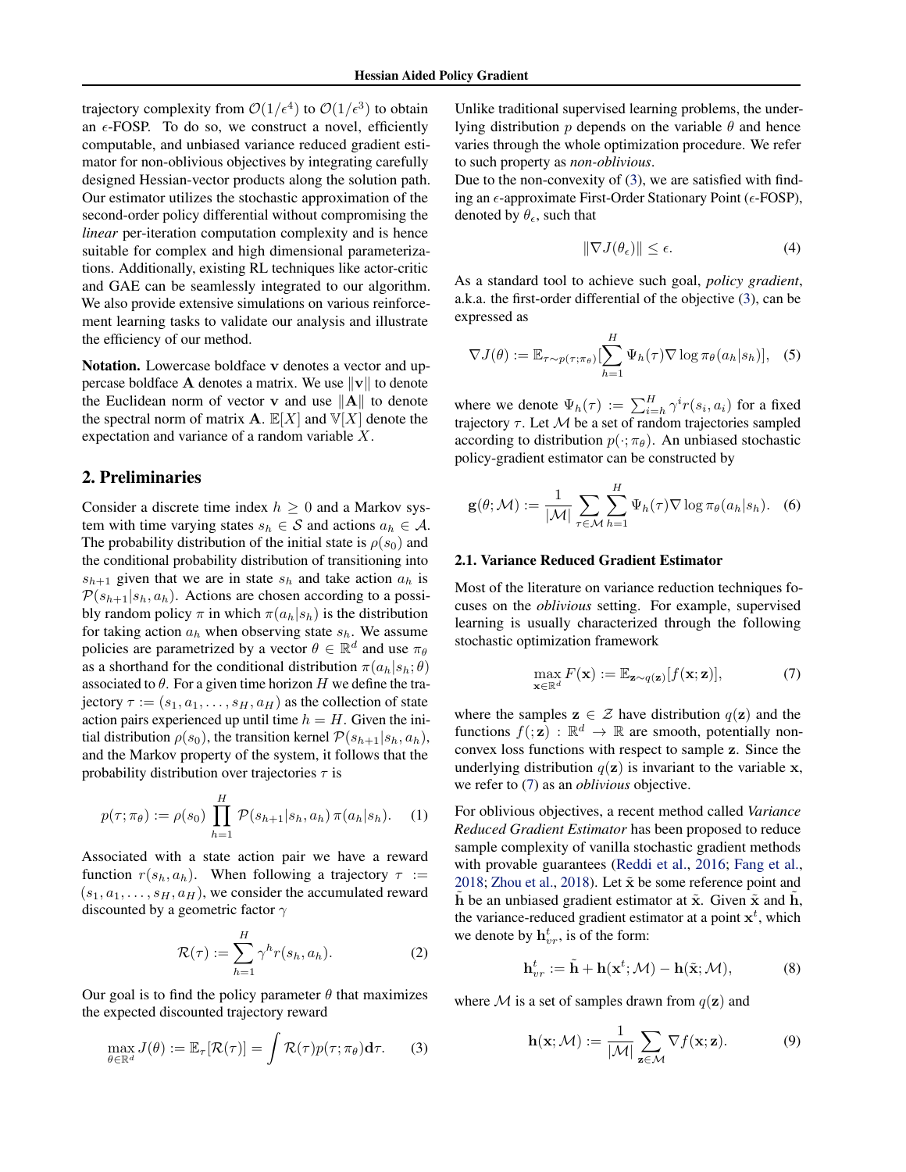<span id="page-1-0"></span>trajectory complexity from  $\mathcal{O}(1/\epsilon^4)$  to  $\mathcal{O}(1/\epsilon^3)$  to obtain an  $\epsilon$ -FOSP. To do so, we construct a novel, efficiently computable, and unbiased variance reduced gradient estimator for non-oblivious objectives by integrating carefully designed Hessian-vector products along the solution path. Our estimator utilizes the stochastic approximation of the second-order policy differential without compromising the *linear* per-iteration computation complexity and is hence suitable for complex and high dimensional parameterizations. Additionally, existing RL techniques like actor-critic and GAE can be seamlessly integrated to our algorithm. We also provide extensive simulations on various reinforcement learning tasks to validate our analysis and illustrate the efficiency of our method.

Notation. Lowercase boldface v denotes a vector and uppercase boldface **A** denotes a matrix. We use  $||v||$  to denote the Euclidean norm of vector **v** and use  $\|\mathbf{A}\|$  to denote the spectral norm of matrix **A**.  $\mathbb{E}[X]$  and  $\mathbb{V}[X]$  denote the expectation and variance of a random variable X.

## 2. Preliminaries

Consider a discrete time index  $h \geq 0$  and a Markov system with time varying states  $s_h \in S$  and actions  $a_h \in A$ . The probability distribution of the initial state is  $\rho(s_0)$  and the conditional probability distribution of transitioning into  $s_{h+1}$  given that we are in state  $s_h$  and take action  $a_h$  is  $\mathcal{P}(s_{h+1}|s_h, a_h)$ . Actions are chosen according to a possibly random policy  $\pi$  in which  $\pi(a_h|s_h)$  is the distribution for taking action  $a_h$  when observing state  $s_h$ . We assume policies are parametrized by a vector  $\theta \in \mathbb{R}^d$  and use  $\pi_\theta$ as a shorthand for the conditional distribution  $\pi(a_h|s_h; \theta)$ associated to  $\theta$ . For a given time horizon H we define the trajectory  $\tau := (s_1, a_1, \ldots, s_H, a_H)$  as the collection of state action pairs experienced up until time  $h = H$ . Given the initial distribution  $\rho(s_0)$ , the transition kernel  $P(s_{h+1}|s_h, a_h)$ , and the Markov property of the system, it follows that the probability distribution over trajectories  $\tau$  is

$$
p(\tau; \pi_{\theta}) := \rho(s_0) \prod_{h=1}^{H} \mathcal{P}(s_{h+1}|s_h, a_h) \pi(a_h|s_h).
$$
 (1)

Associated with a state action pair we have a reward function  $r(s_h, a_h)$ . When following a trajectory  $\tau :=$  $(s_1, a_1, \ldots, s_H, a_H)$ , we consider the accumulated reward discounted by a geometric factor  $\gamma$ 

$$
\mathcal{R}(\tau) := \sum_{h=1}^{H} \gamma^h r(s_h, a_h). \tag{2}
$$

Our goal is to find the policy parameter  $\theta$  that maximizes the expected discounted trajectory reward

$$
\max_{\theta \in \mathbb{R}^d} J(\theta) := \mathbb{E}_{\tau}[\mathcal{R}(\tau)] = \int \mathcal{R}(\tau) p(\tau; \pi_{\theta}) \mathbf{d}\tau.
$$
 (3)

Unlike traditional supervised learning problems, the underlying distribution  $p$  depends on the variable  $\theta$  and hence varies through the whole optimization procedure. We refer to such property as *non-oblivious*.

Due to the non-convexity of (3), we are satisfied with finding an  $\epsilon$ -approximate First-Order Stationary Point ( $\epsilon$ -FOSP), denoted by  $\theta_{\epsilon}$ , such that

$$
\|\nabla J(\theta_{\epsilon})\| \le \epsilon. \tag{4}
$$

As a standard tool to achieve such goal, *policy gradient*, a.k.a. the first-order differential of the objective (3), can be expressed as

$$
\nabla J(\theta) := \mathbb{E}_{\tau \sim p(\tau; \pi_{\theta})} \left[ \sum_{h=1}^{H} \Psi_h(\tau) \nabla \log \pi_{\theta}(a_h|s_h) \right], \quad (5)
$$

where we denote  $\Psi_h(\tau) := \sum_{i=h}^H \gamma^i r(s_i, a_i)$  for a fixed trajectory  $\tau$ . Let  $\mathcal M$  be a set of random trajectories sampled according to distribution  $p(\cdot; \pi_{\theta})$ . An unbiased stochastic policy-gradient estimator can be constructed by

$$
\mathbf{g}(\theta; \mathcal{M}) := \frac{1}{|\mathcal{M}|} \sum_{\tau \in \mathcal{M}} \sum_{h=1}^{H} \Psi_h(\tau) \nabla \log \pi_{\theta}(a_h|s_h).
$$
 (6)

### 2.1. Variance Reduced Gradient Estimator

Most of the literature on variance reduction techniques focuses on the *oblivious* setting. For example, supervised learning is usually characterized through the following stochastic optimization framework

$$
\max_{\mathbf{x} \in \mathbb{R}^d} F(\mathbf{x}) := \mathbb{E}_{\mathbf{z} \sim q(\mathbf{z})} [f(\mathbf{x}; \mathbf{z})],\tag{7}
$$

where the samples  $z \in \mathcal{Z}$  have distribution  $q(z)$  and the functions  $f(z) : \mathbb{R}^d \to \mathbb{R}$  are smooth, potentially nonconvex loss functions with respect to sample z. Since the underlying distribution  $q(\mathbf{z})$  is invariant to the variable x, we refer to (7) as an *oblivious* objective.

For oblivious objectives, a recent method called *Variance Reduced Gradient Estimator* has been proposed to reduce sample complexity of vanilla stochastic gradient methods with provable guarantees [\(Reddi et al.,](#page-8-0) [2016;](#page-8-0) [Fang et al.,](#page-8-0) [2018;](#page-8-0) [Zhou et al.,](#page-9-0) [2018\)](#page-9-0). Let  $\tilde{\mathbf{x}}$  be some reference point and h be an unbiased gradient estimator at  $\tilde{x}$ . Given  $\tilde{x}$  and  $\tilde{h}$ , the variance-reduced gradient estimator at a point  $x<sup>t</sup>$ , which we denote by  $\mathbf{h}_{vr}^t$ , is of the form:

$$
\mathbf{h}_{vr}^t := \tilde{\mathbf{h}} + \mathbf{h}(\mathbf{x}^t; \mathcal{M}) - \mathbf{h}(\tilde{\mathbf{x}}; \mathcal{M}),\tag{8}
$$

where M is a set of samples drawn from  $q(\mathbf{z})$  and

$$
\mathbf{h}(\mathbf{x}; \mathcal{M}) := \frac{1}{|\mathcal{M}|} \sum_{\mathbf{z} \in \mathcal{M}} \nabla f(\mathbf{x}; \mathbf{z}). \tag{9}
$$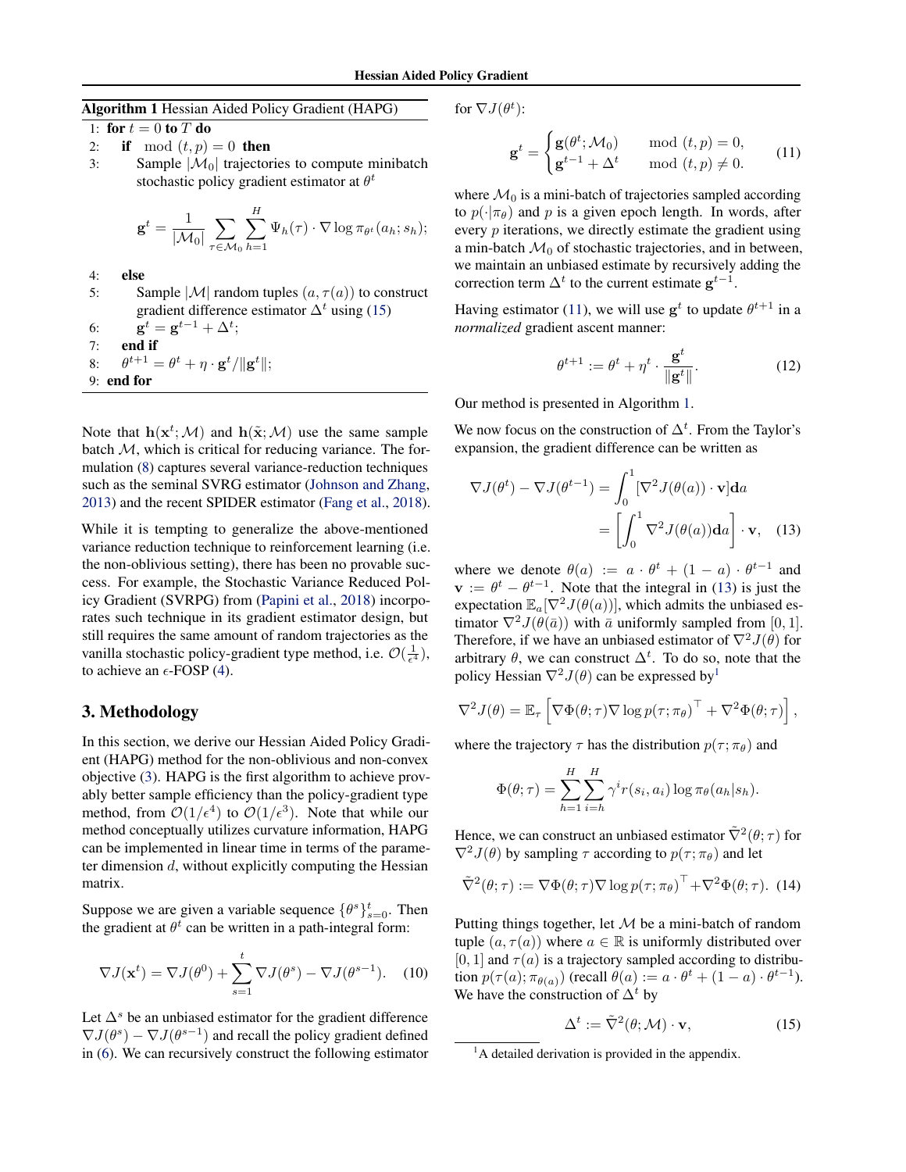<span id="page-2-0"></span>Algorithm 1 Hessian Aided Policy Gradient (HAPG)

1: for  $t = 0$  to  $T$  do

- 2: if mod  $(t, p) = 0$  then
- 3: Sample  $|\mathcal{M}_0|$  trajectories to compute minibatch stochastic policy gradient estimator at  $\theta^t$

$$
\mathbf{g}^{t} = \frac{1}{|\mathcal{M}_0|} \sum_{\tau \in \mathcal{M}_0} \sum_{h=1}^{H} \Psi_h(\tau) \cdot \nabla \log \pi_{\theta^{t}}(a_h; s_h);
$$

- 4: else
- 5: Sample  $|\mathcal{M}|$  random tuples  $(a, \tau(a))$  to construct gradient difference estimator  $\Delta^t$  using (15) 6:  $g^t = g^{t-1} + \Delta^t;$
- 7: end if
- 8:  $\theta^{t+1} = \theta^t + \eta \cdot \mathbf{g}^t / \|\mathbf{g}^t\|;$
- 9: end for

Note that  $h(\mathbf{x}^t; \mathcal{M})$  and  $h(\tilde{\mathbf{x}}; \mathcal{M})$  use the same sample batch  $M$ , which is critical for reducing variance. The formulation [\(8\)](#page-1-0) captures several variance-reduction techniques such as the seminal SVRG estimator [\(Johnson and Zhang,](#page-8-0) [2013\)](#page-8-0) and the recent SPIDER estimator [\(Fang et al.,](#page-8-0) [2018\)](#page-8-0).

While it is tempting to generalize the above-mentioned variance reduction technique to reinforcement learning (i.e. the non-oblivious setting), there has been no provable success. For example, the Stochastic Variance Reduced Policy Gradient (SVRPG) from [\(Papini et al.,](#page-8-0) [2018\)](#page-8-0) incorporates such technique in its gradient estimator design, but still requires the same amount of random trajectories as the vanilla stochastic policy-gradient type method, i.e.  $\mathcal{O}(\frac{1}{\epsilon^4})$ , to achieve an  $\epsilon$ -FOSP [\(4\)](#page-1-0).

# 3. Methodology

In this section, we derive our Hessian Aided Policy Gradient (HAPG) method for the non-oblivious and non-convex objective [\(3\)](#page-1-0). HAPG is the first algorithm to achieve provably better sample efficiency than the policy-gradient type method, from  $\mathcal{O}(1/\epsilon^4)$  to  $\mathcal{O}(1/\epsilon^3)$ . Note that while our method conceptually utilizes curvature information, HAPG can be implemented in linear time in terms of the parameter dimension  $d$ , without explicitly computing the Hessian matrix.

Suppose we are given a variable sequence  $\{\theta^s\}_{s=0}^t$ . Then the gradient at  $\theta^t$  can be written in a path-integral form:

$$
\nabla J(\mathbf{x}^t) = \nabla J(\theta^0) + \sum_{s=1}^t \nabla J(\theta^s) - \nabla J(\theta^{s-1}). \quad (10)
$$

Let  $\Delta^s$  be an unbiased estimator for the gradient difference  $\nabla J(\theta^s) - \nabla J(\theta^{s-1})$  and recall the policy gradient defined in [\(6\)](#page-1-0). We can recursively construct the following estimator for  $\nabla J(\theta^t)$ :

$$
\mathbf{g}^{t} = \begin{cases} \mathbf{g}(\theta^{t}; \mathcal{M}_{0}) & \text{mod } (t, p) = 0, \\ \mathbf{g}^{t-1} + \Delta^{t} & \text{mod } (t, p) \neq 0. \end{cases}
$$
 (11)

where  $\mathcal{M}_0$  is a mini-batch of trajectories sampled according to  $p(\cdot|\pi_\theta)$  and p is a given epoch length. In words, after every p iterations, we directly estimate the gradient using a min-batch  $\mathcal{M}_0$  of stochastic trajectories, and in between, we maintain an unbiased estimate by recursively adding the correction term  $\Delta^t$  to the current estimate  $g^{t-1}$ .

Having estimator (11), we will use  $g^t$  to update  $\theta^{t+1}$  in a *normalized* gradient ascent manner:

$$
\theta^{t+1} := \theta^t + \eta^t \cdot \frac{\mathbf{g}^t}{\|\mathbf{g}^t\|}.
$$
 (12)

Our method is presented in Algorithm 1.

We now focus on the construction of  $\Delta^t$ . From the Taylor's expansion, the gradient difference can be written as

$$
\nabla J(\theta^t) - \nabla J(\theta^{t-1}) = \int_0^1 [\nabla^2 J(\theta(a)) \cdot \mathbf{v}] da
$$

$$
= \left[ \int_0^1 \nabla^2 J(\theta(a)) da \right] \cdot \mathbf{v}, \quad (13)
$$

where we denote  $\theta(a) := a \cdot \theta^t + (1 - a) \cdot \theta^{t-1}$  and  $\mathbf{v} := \theta^t - \theta^{t-1}$ . Note that the integral in (13) is just the expectation  $\mathbb{E}_a[\nabla^2 J(\theta(a))]$ , which admits the unbiased estimator  $\nabla^2 J(\theta(\bar{a}))$  with  $\bar{a}$  uniformly sampled from [0, 1]. Therefore, if we have an unbiased estimator of  $\nabla^2 J(\theta)$  for arbitrary  $\theta$ , we can construct  $\Delta^t$ . To do so, note that the policy Hessian  $\nabla^2 J(\theta)$  can be expressed by<sup>1</sup>

$$
\nabla^2 J(\theta) = \mathbb{E}_{\tau} \left[ \nabla \Phi(\theta; \tau) \nabla \log p(\tau; \pi_{\theta})^{\top} + \nabla^2 \Phi(\theta; \tau) \right],
$$

where the trajectory  $\tau$  has the distribution  $p(\tau; \pi_{\theta})$  and

$$
\Phi(\theta; \tau) = \sum_{h=1}^{H} \sum_{i=h}^{H} \gamma^{i} r(s_i, a_i) \log \pi_{\theta}(a_h|s_h).
$$

Hence, we can construct an unbiased estimator  $\tilde{\nabla}^2(\theta; \tau)$  for  $\nabla^2 J(\theta)$  by sampling  $\tau$  according to  $p(\tau; \pi_\theta)$  and let

$$
\tilde{\nabla}^2(\theta; \tau) := \nabla \Phi(\theta; \tau) \nabla \log p(\tau; \pi_{\theta})^\top + \nabla^2 \Phi(\theta; \tau). \tag{14}
$$

Putting things together, let  $M$  be a mini-batch of random tuple  $(a, \tau(a))$  where  $a \in \mathbb{R}$  is uniformly distributed over [0, 1] and  $\tau(a)$  is a trajectory sampled according to distribution  $p(\tau(a); \pi_{\theta(a)})$  (recall  $\theta(a) := a \cdot \theta^t + (1 - a) \cdot \theta^{t-1}$ ). We have the construction of  $\Delta^t$  by

$$
\Delta^t := \tilde{\nabla}^2(\theta; \mathcal{M}) \cdot \mathbf{v},\tag{15}
$$

 ${}^{1}$ A detailed derivation is provided in the appendix.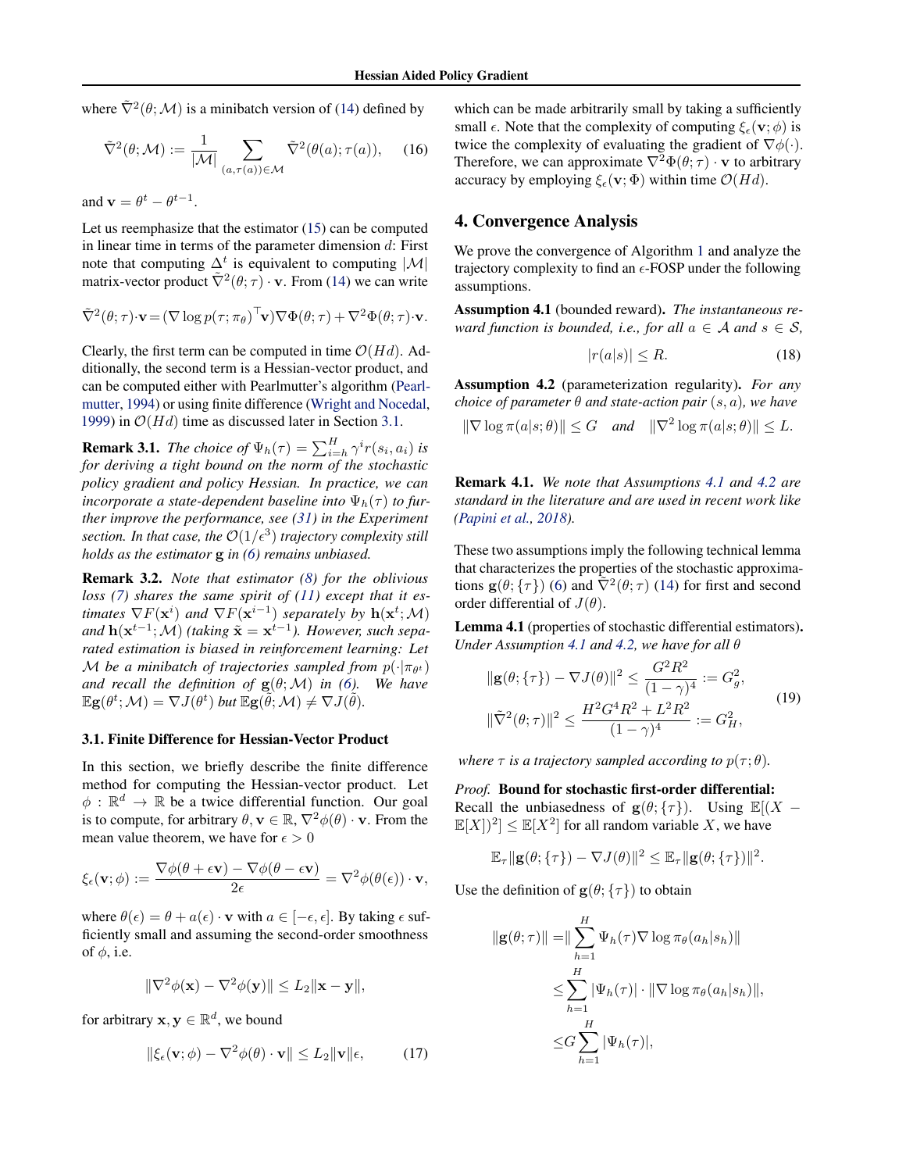<span id="page-3-0"></span>where  $\tilde{\nabla}^2(\theta; \mathcal{M})$  is a minibatch version of [\(14\)](#page-2-0) defined by

$$
\tilde{\nabla}^2(\theta; \mathcal{M}) := \frac{1}{|\mathcal{M}|} \sum_{(a,\tau(a)) \in \mathcal{M}} \tilde{\nabla}^2(\theta(a); \tau(a)), \quad (16)
$$

and  $\mathbf{v} = \theta^t - \theta^{t-1}$ .

Let us reemphasize that the estimator [\(15\)](#page-2-0) can be computed in linear time in terms of the parameter dimension  $d$ : First note that computing  $\Delta^t$  is equivalent to computing  $|\mathcal{M}|$ matrix-vector product  $\tilde{\nabla}^2(\theta;\tau) \cdot \mathbf{v}$ . From [\(14\)](#page-2-0) we can write

$$
\tilde{\nabla}^2(\theta; \tau) \cdot \mathbf{v} = (\nabla \log p(\tau; \pi_{\theta})^{\top} \mathbf{v}) \nabla \Phi(\theta; \tau) + \nabla^2 \Phi(\theta; \tau) \cdot \mathbf{v}.
$$

Clearly, the first term can be computed in time  $O(Hd)$ . Additionally, the second term is a Hessian-vector product, and can be computed either with Pearlmutter's algorithm [\(Pearl](#page-8-0)[mutter,](#page-8-0) [1994\)](#page-8-0) or using finite difference [\(Wright and Nocedal,](#page-9-0) [1999\)](#page-9-0) in  $O(Hd)$  time as discussed later in Section 3.1.

**Remark 3.1.** *The choice of*  $\Psi_h(\tau) = \sum_{i=h}^H \gamma^i r(s_i, a_i)$  *is for deriving a tight bound on the norm of the stochastic policy gradient and policy Hessian. In practice, we can incorporate a state-dependent baseline into*  $\Psi_h(\tau)$  *to further improve the performance, see [\(31\)](#page-6-0) in the Experiment* section. In that case, the  $\mathcal{O}(1/\epsilon^3)$  trajectory complexity still *holds as the estimator* g *in [\(6\)](#page-1-0) remains unbiased.*

Remark 3.2. *Note that estimator [\(8\)](#page-1-0) for the oblivious loss [\(7\)](#page-1-0) shares the same spirit of [\(11\)](#page-2-0) except that it estimates*  $\nabla F(\mathbf{x}^i)$  and  $\nabla F(\mathbf{x}^{i-1})$  *separately by*  $\mathbf{h}(\mathbf{x}^t; \mathcal{M})$ *and*  $h(x^{t-1}; M)$  *(taking*  $\tilde{x} = x^{t-1}$ *). However, such separated estimation is biased in reinforcement learning: Let* M be a minibatch of trajectories sampled from  $p(\cdot | \pi_{\theta^t})$ *and recall the definition of*  $g(\theta; M)$  *in [\(6\)](#page-1-0). We have*  $\mathbb{E} \mathbf{g}(\theta^t; \mathcal{M}) = \nabla J(\theta^t)$  but  $\mathbb{E} \mathbf{g}(\widetilde{\theta}; \mathcal{M}) \neq \nabla J(\widetilde{\theta}).$ 

#### 3.1. Finite Difference for Hessian-Vector Product

In this section, we briefly describe the finite difference method for computing the Hessian-vector product. Let  $\phi : \mathbb{R}^d \to \mathbb{R}$  be a twice differential function. Our goal is to compute, for arbitrary  $\theta$ ,  $\mathbf{v} \in \mathbb{R}$ ,  $\nabla^2 \phi(\theta) \cdot \mathbf{v}$ . From the mean value theorem, we have for  $\epsilon > 0$ 

$$
\xi_{\epsilon}(\mathbf{v};\phi) := \frac{\nabla \phi(\theta + \epsilon \mathbf{v}) - \nabla \phi(\theta - \epsilon \mathbf{v})}{2\epsilon} = \nabla^2 \phi(\theta(\epsilon)) \cdot \mathbf{v},
$$

where  $\theta(\epsilon) = \theta + a(\epsilon) \cdot \mathbf{v}$  with  $a \in [-\epsilon, \epsilon]$ . By taking  $\epsilon$  sufficiently small and assuming the second-order smoothness of  $\phi$ , i.e.

$$
\|\nabla^2 \phi(\mathbf{x}) - \nabla^2 \phi(\mathbf{y})\| \le L_2 \|\mathbf{x} - \mathbf{y}\|,
$$

for arbitrary  $\mathbf{x}, \mathbf{y} \in \mathbb{R}^d$ , we bound

$$
\|\xi_{\epsilon}(\mathbf{v};\phi) - \nabla^2 \phi(\theta) \cdot \mathbf{v}\| \le L_2 \|\mathbf{v}\| \epsilon, \tag{17}
$$

which can be made arbitrarily small by taking a sufficiently small  $\epsilon$ . Note that the complexity of computing  $\xi_{\epsilon}(\mathbf{v}; \phi)$  is twice the complexity of evaluating the gradient of  $\nabla \phi(\cdot)$ . Therefore, we can approximate  $\nabla^2 \Phi(\theta; \tau) \cdot \mathbf{v}$  to arbitrary accuracy by employing  $\xi_{\epsilon}(\mathbf{v}; \Phi)$  within time  $\mathcal{O}(Hd)$ .

## 4. Convergence Analysis

We prove the convergence of Algorithm [1](#page-2-0) and analyze the trajectory complexity to find an  $\epsilon$ -FOSP under the following assumptions.

Assumption 4.1 (bounded reward). *The instantaneous reward function is bounded, i.e., for all*  $a \in \mathcal{A}$  *and*  $s \in \mathcal{S}$ *,* 

$$
|r(a|s)| \le R. \tag{18}
$$

Assumption 4.2 (parameterization regularity). *For any choice of parameter*  $\theta$  *and state-action pair*  $(s, a)$ *, we have* 

 $\|\nabla \log \pi(a|s;\theta)\| \leq G$  *and*  $\|\nabla^2 \log \pi(a|s;\theta)\| \leq L$ .

Remark 4.1. *We note that Assumptions 4.1 and 4.2 are standard in the literature and are used in recent work like [\(Papini et al.,](#page-8-0) [2018\)](#page-8-0).*

These two assumptions imply the following technical lemma that characterizes the properties of the stochastic approximations  $\mathbf{g}(\theta; \{\tau\})$  [\(6\)](#page-1-0) and  $\tilde{\nabla}^2(\theta; \tau)$  [\(14\)](#page-2-0) for first and second order differential of  $J(\theta)$ .

Lemma 4.1 (properties of stochastic differential estimators). *Under Assumption 4.1 and 4.2, we have for all* θ

$$
\|\mathbf{g}(\theta; \{\tau\}) - \nabla J(\theta)\|^2 \le \frac{G^2 R^2}{(1 - \gamma)^4} := G_g^2,
$$
  

$$
\|\tilde{\nabla}^2(\theta; \tau)\|^2 \le \frac{H^2 G^4 R^2 + L^2 R^2}{(1 - \gamma)^4} := G_H^2,
$$
 (19)

*where*  $\tau$  *is a trajectory sampled according to*  $p(\tau; \theta)$ *.* 

*Proof.* Bound for stochastic first-order differential: Recall the unbiasedness of  $g(\theta; \{\tau\})$ . Using  $\mathbb{E}[(X \mathbb{E}[X]^2] \leq \mathbb{E}[X^2]$  for all random variable X, we have

$$
\mathbb{E}_{\tau} \| \mathbf{g}(\theta; \{\tau\}) - \nabla J(\theta) \|^2 \leq \mathbb{E}_{\tau} \| \mathbf{g}(\theta; \{\tau\}) \|^2.
$$

Use the definition of  $g(\theta; {\tau})$  to obtain

$$
\| \mathbf{g}(\theta; \tau) \| = \| \sum_{h=1}^{H} \Psi_h(\tau) \nabla \log \pi_{\theta}(a_h | s_h) \|
$$
  
\n
$$
\leq \sum_{h=1}^{H} |\Psi_h(\tau)| \cdot \| \nabla \log \pi_{\theta}(a_h | s_h) \|,
$$
  
\n
$$
\leq G \sum_{h=1}^{H} |\Psi_h(\tau)|,
$$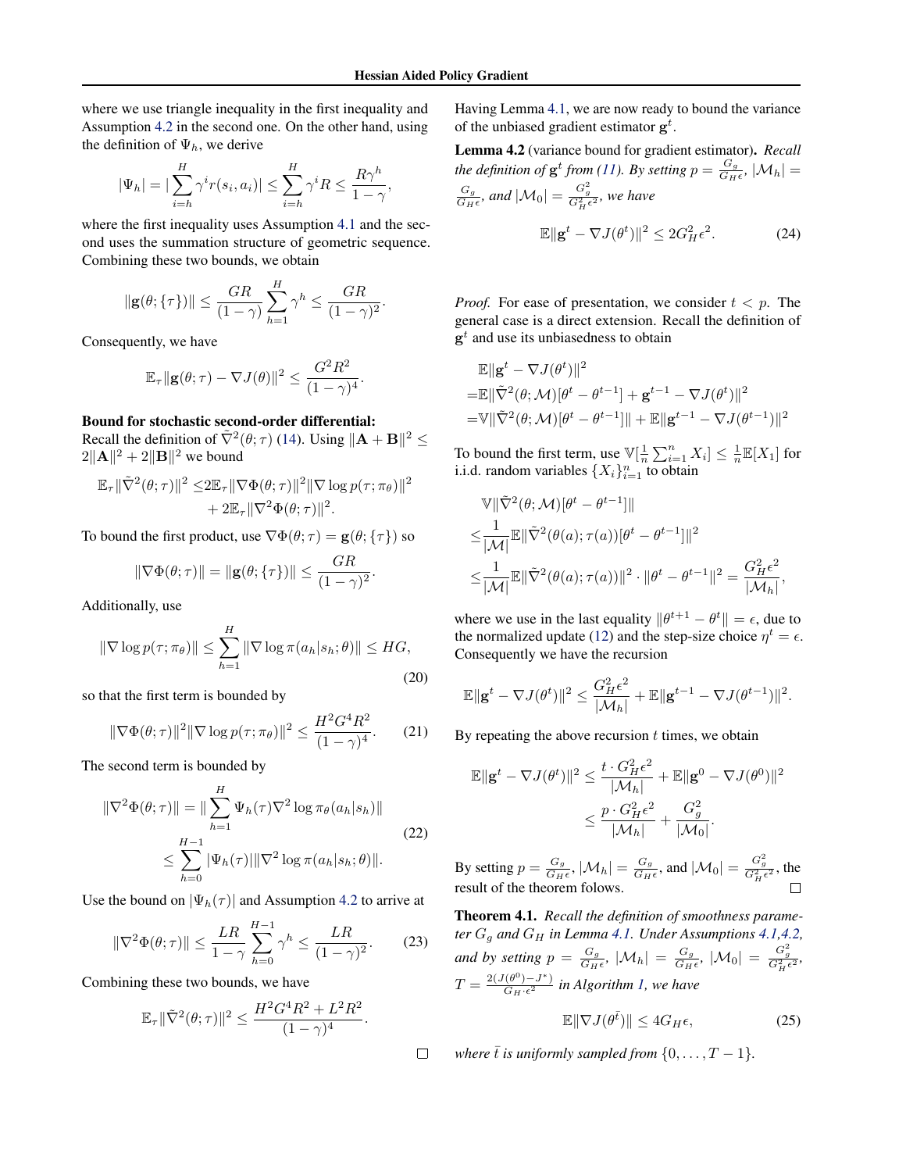<span id="page-4-0"></span>where we use triangle inequality in the first inequality and Assumption [4.2](#page-3-0) in the second one. On the other hand, using the definition of  $\Psi_h$ , we derive

$$
|\Psi_h| = |\sum_{i=h}^H \gamma^i r(s_i, a_i)| \le \sum_{i=h}^H \gamma^i R \le \frac{R\gamma^h}{1-\gamma},
$$

where the first inequality uses Assumption [4.1](#page-3-0) and the second uses the summation structure of geometric sequence. Combining these two bounds, we obtain

$$
\|\mathbf{g}(\theta;\{\tau\})\| \leq \frac{GR}{(1-\gamma)}\sum_{h=1}^{H} \gamma^h \leq \frac{GR}{(1-\gamma)^2}.
$$

Consequently, we have

$$
\mathbb{E}_{\tau} \| \mathbf{g}(\theta; \tau) - \nabla J(\theta) \|^2 \leq \frac{G^2 R^2}{(1 - \gamma)^4}.
$$

## Bound for stochastic second-order differential:

Recall the definition of  $\tilde{\nabla}^2(\theta; \tau)$  [\(14\)](#page-2-0). Using  $\|\mathbf{A} + \mathbf{B}\|^2 \leq$  $2\|\mathbf{A}\|^2 + 2\|\mathbf{B}\|^2$  we bound

$$
\mathbb{E}_{\tau} \|\tilde{\nabla}^2(\theta; \tau)\|^2 \leq 2 \mathbb{E}_{\tau} \|\nabla \Phi(\theta; \tau)\|^2 \|\nabla \log p(\tau; \pi_{\theta})\|^2
$$
  
+ 2 \mathbb{E}\_{\tau} \|\nabla^2 \Phi(\theta; \tau)\|^2.

To bound the first product, use  $\nabla \Phi(\theta; \tau) = \mathbf{g}(\theta; \{\tau\})$  so

$$
\|\nabla\Phi(\theta;\tau)\| = \|\mathbf{g}(\theta;\{\tau\})\| \leq \frac{GR}{(1-\gamma)^2}.
$$

Additionally, use

$$
\|\nabla \log p(\tau; \pi_{\theta})\| \le \sum_{h=1}^{H} \|\nabla \log \pi(a_h|s_h; \theta)\| \le HG,
$$
\n(20)

so that the first term is bounded by

$$
\|\nabla\Phi(\theta;\tau)\|^2 \|\nabla\log p(\tau;\pi_{\theta})\|^2 \le \frac{H^2 G^4 R^2}{(1-\gamma)^4}.
$$
 (21)

The second term is bounded by

$$
\|\nabla^2 \Phi(\theta; \tau)\| = \|\sum_{h=1}^H \Psi_h(\tau) \nabla^2 \log \pi_\theta(a_h|s_h)\|
$$
  

$$
\leq \sum_{h=0}^{H-1} |\Psi_h(\tau)| \|\nabla^2 \log \pi(a_h|s_h; \theta)\|.
$$
 (22)

Use the bound on  $|\Psi_h(\tau)|$  and Assumption [4.2](#page-3-0) to arrive at

$$
\|\nabla^2 \Phi(\theta; \tau)\| \le \frac{LR}{1-\gamma} \sum_{h=0}^{H-1} \gamma^h \le \frac{LR}{(1-\gamma)^2}.
$$
 (23)

Combining these two bounds, we have

$$
\mathbb{E}_{\tau} \|\tilde{\nabla}^{2}(\theta;\tau)\|^{2} \leq \frac{H^{2}G^{4}R^{2} + L^{2}R^{2}}{(1-\gamma)^{4}}.
$$

 $\Box$ 

Having Lemma [4.1,](#page-3-0) we are now ready to bound the variance of the unbiased gradient estimator  $g^t$ .

Lemma 4.2 (variance bound for gradient estimator). *Recall the definition of*  $\mathbf{g}^t$  *from [\(11\)](#page-2-0).* By setting  $p = \frac{G_g}{G_H}$  $\frac{G_g}{G_H \epsilon}$ ,  $|\mathcal{M}_h| =$  $G_g$  $\frac{G_g}{G_H \epsilon}$ , and  $|\mathcal{M}_0| = \frac{G_g^2}{G_H^2 \epsilon^2}$ , we have

$$
\mathbb{E} \|\mathbf{g}^t - \nabla J(\theta^t)\|^2 \le 2G_H^2 \epsilon^2. \tag{24}
$$

*Proof.* For ease of presentation, we consider  $t < p$ . The general case is a direct extension. Recall the definition of  $\mathbf{g}^t$  and use its unbiasedness to obtain

$$
\mathbb{E} \|\mathbf{g}^{t} - \nabla J(\theta^{t})\|^{2}
$$
\n
$$
= \mathbb{E} \|\tilde{\nabla}^{2}(\theta; \mathcal{M})[\theta^{t} - \theta^{t-1}] + \mathbf{g}^{t-1} - \nabla J(\theta^{t})\|^{2}
$$
\n
$$
= \mathbb{V} \|\tilde{\nabla}^{2}(\theta; \mathcal{M})[\theta^{t} - \theta^{t-1}]\| + \mathbb{E} \|\mathbf{g}^{t-1} - \nabla J(\theta^{t-1})\|^{2}
$$

To bound the first term, use  $\mathbb{V}[\frac{1}{n}\sum_{i=1}^{n}X_i] \leq \frac{1}{n}\mathbb{E}[X_1]$  for i.i.d. random variables  $\{X_i\}_{i=1}^n$  to obtain

$$
\mathbb{V} \|\tilde{\nabla}^2(\theta; \mathcal{M})[\theta^t - \theta^{t-1}]\|
$$
  
\n
$$
\leq \frac{1}{|\mathcal{M}|} \mathbb{E} \|\tilde{\nabla}^2(\theta(a); \tau(a))[\theta^t - \theta^{t-1}]\|^2
$$
  
\n
$$
\leq \frac{1}{|\mathcal{M}|} \mathbb{E} \|\tilde{\nabla}^2(\theta(a); \tau(a))\|^2 \cdot \|\theta^t - \theta^{t-1}\|^2 = \frac{G_H^2 \epsilon^2}{|\mathcal{M}_h|}
$$

,

where we use in the last equality  $\|\theta^{t+1} - \theta^t\| = \epsilon$ , due to the normalized update [\(12\)](#page-2-0) and the step-size choice  $\eta^t = \epsilon$ . Consequently we have the recursion

$$
\mathbb{E}\|\mathbf{g}^t - \nabla J(\theta^t)\|^2 \leq \frac{G_H^2 \epsilon^2}{|\mathcal{M}_h|} + \mathbb{E}\|\mathbf{g}^{t-1} - \nabla J(\theta^{t-1})\|^2.
$$

By repeating the above recursion  $t$  times, we obtain

$$
\begin{aligned} \mathbb{E} \|\mathbf{g}^t - \nabla J(\theta^t)\|^2 &\leq \frac{t\cdot G_H^2 \epsilon^2}{|\mathcal{M}_h|} + \mathbb{E} \|\mathbf{g}^0 - \nabla J(\theta^0)\|^2 \\ &\leq \frac{p\cdot G_H^2 \epsilon^2}{|\mathcal{M}_h|} + \frac{G_g^2}{|\mathcal{M}_0|}. \end{aligned}
$$

By setting  $p = \frac{G_g}{G_H}$  $\frac{G_g}{G_H \epsilon}, |\mathcal{M}_h| = \frac{G_g}{G_H}$  $\frac{G_g}{G_H \epsilon}$ , and  $|\mathcal{M}_0| = \frac{G_g^2}{G_H^2 \epsilon^2}$ , the result of the theorem folows.

Theorem 4.1. *Recall the definition of smoothness parameter*  $G_g$  *and*  $G_H$  *in Lemma [4.1.](#page-3-0) Under Assumptions [4.1,4.2,](#page-3-0) and by setting*  $p = \frac{G_g}{G_H}$  $\frac{G_g}{G_H \epsilon}$ ,  $|\mathcal{M}_h| = \frac{G_g}{G_H}$  $\frac{G_g}{G_H \epsilon}$ ,  $|\mathcal{M}_0| = \frac{G_g^2}{G_H^2 \epsilon^2}$ ,  $T = \frac{2(J(\theta^0) - J^*)}{Gm\epsilon^2}$  $\frac{(\theta^{+})-J}{G_H \cdot \epsilon^2}$  in Algorithm [1,](#page-2-0) we have

$$
\mathbb{E}\|\nabla J(\theta^{\bar{t}})\| \le 4G_H\epsilon,\tag{25}
$$

*where*  $\bar{t}$  *is uniformly sampled from*  $\{0, \ldots, T-1\}$ *.*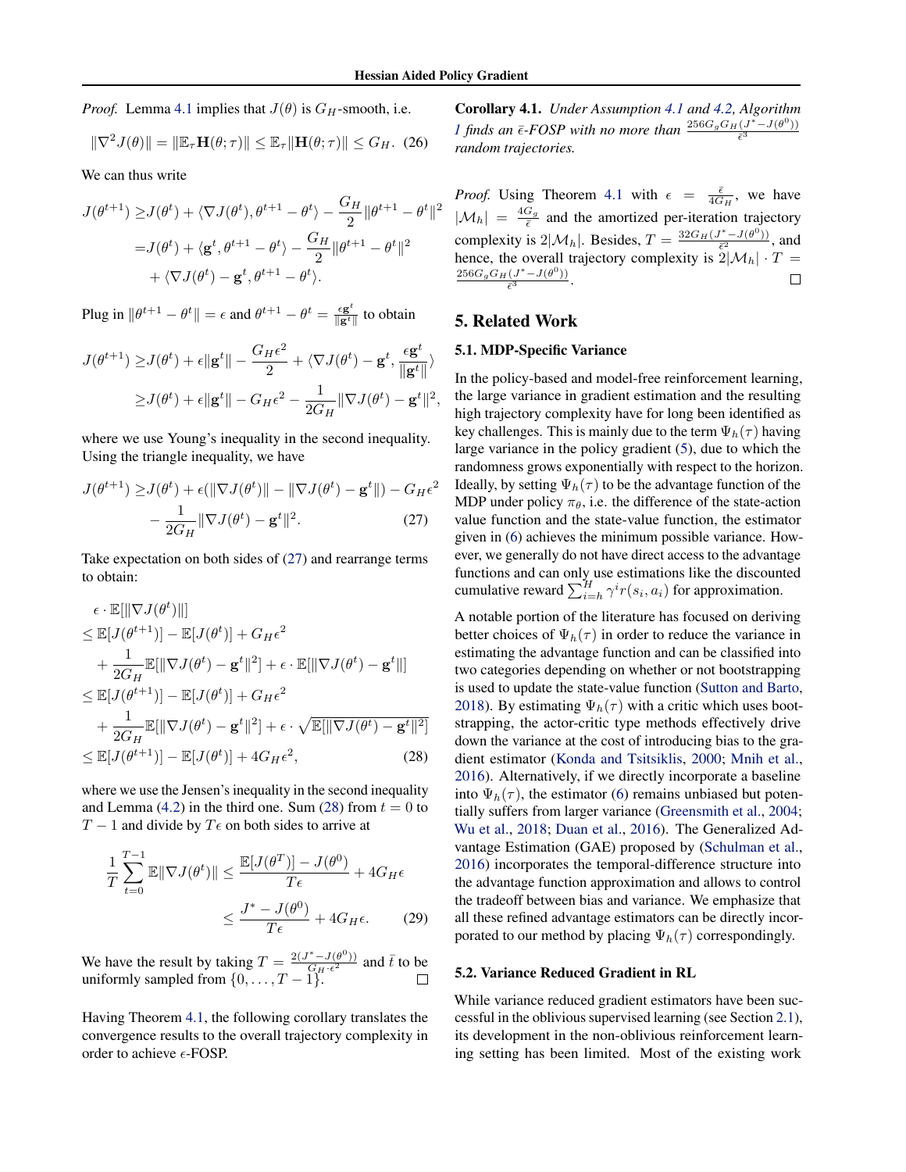*Proof.* Lemma [4.1](#page-3-0) implies that  $J(\theta)$  is  $G_H$ -smooth, i.e.

$$
\|\nabla^2 J(\theta)\| = \|\mathbb{E}_{\tau} \mathbf{H}(\theta; \tau)\| \le \mathbb{E}_{\tau} \|\mathbf{H}(\theta; \tau)\| \le G_H. \tag{26}
$$

We can thus write

$$
J(\theta^{t+1}) \geq J(\theta^t) + \langle \nabla J(\theta^t), \theta^{t+1} - \theta^t \rangle - \frac{G_H}{2} ||\theta^{t+1} - \theta^t||^2
$$
  
=  $J(\theta^t) + \langle \mathbf{g}^t, \theta^{t+1} - \theta^t \rangle - \frac{G_H}{2} ||\theta^{t+1} - \theta^t||^2$   
+  $\langle \nabla J(\theta^t) - \mathbf{g}^t, \theta^{t+1} - \theta^t \rangle$ .

Plug in  $\|\theta^{t+1} - \theta^t\| = \epsilon$  and  $\theta^{t+1} - \theta^t = \frac{\epsilon \mathbf{g}^t}{\|\mathbf{g}^t\|}$  $\frac{\epsilon \mathbf{g}^{\cdot}}{\|\mathbf{g}^t\|}$  to obtain

$$
J(\theta^{t+1}) \ge J(\theta^t) + \epsilon ||\mathbf{g}^t|| - \frac{G_H \epsilon^2}{2} + \langle \nabla J(\theta^t) - \mathbf{g}^t, \frac{\epsilon \mathbf{g}^t}{||\mathbf{g}^t||} \rangle
$$
  
 
$$
\ge J(\theta^t) + \epsilon ||\mathbf{g}^t|| - G_H \epsilon^2 - \frac{1}{2G_H} ||\nabla J(\theta^t) - \mathbf{g}^t||^2,
$$

where we use Young's inequality in the second inequality. Using the triangle inequality, we have

$$
J(\theta^{t+1}) \ge J(\theta^t) + \epsilon(||\nabla J(\theta^t)|| - ||\nabla J(\theta^t) - \mathbf{g}^t||) - G_H \epsilon^2
$$

$$
- \frac{1}{2G_H} ||\nabla J(\theta^t) - \mathbf{g}^t||^2. \tag{27}
$$

Take expectation on both sides of (27) and rearrange terms to obtain:

$$
\epsilon \cdot \mathbb{E}[\|\nabla J(\theta^t)\|]
$$
\n
$$
\leq \mathbb{E}[J(\theta^{t+1})] - \mathbb{E}[J(\theta^t)] + G_H \epsilon^2
$$
\n
$$
+ \frac{1}{2G_H} \mathbb{E}[\|\nabla J(\theta^t) - \mathbf{g}^t\|^2] + \epsilon \cdot \mathbb{E}[\|\nabla J(\theta^t) - \mathbf{g}^t\|]
$$
\n
$$
\leq \mathbb{E}[J(\theta^{t+1})] - \mathbb{E}[J(\theta^t)] + G_H \epsilon^2
$$
\n
$$
+ \frac{1}{2G_H} \mathbb{E}[\|\nabla J(\theta^t) - \mathbf{g}^t\|^2] + \epsilon \cdot \sqrt{\mathbb{E}[\|\nabla J(\theta^t) - \mathbf{g}^t\|^2]}
$$
\n
$$
\leq \mathbb{E}[J(\theta^{t+1})] - \mathbb{E}[J(\theta^t)] + 4G_H \epsilon^2, \qquad (28)
$$

where we use the Jensen's inequality in the second inequality and Lemma [\(4.2\)](#page-4-0) in the third one. Sum (28) from  $t = 0$  to  $T - 1$  and divide by  $T \epsilon$  on both sides to arrive at

$$
\frac{1}{T} \sum_{t=0}^{T-1} \mathbb{E} \|\nabla J(\theta^t)\| \le \frac{\mathbb{E}[J(\theta^T)] - J(\theta^0)}{T\epsilon} + 4G_H \epsilon
$$
\n
$$
\le \frac{J^* - J(\theta^0)}{T\epsilon} + 4G_H \epsilon. \tag{29}
$$

We have the result by taking  $T = \frac{2(J^* - J(\theta^0))}{G_{\text{tr}}c^2}$  $\frac{\partial (\bar{\theta}^{\circ})}{\partial H \cdot \epsilon^2}$  and  $\bar{t}$  to be uniformly sampled from  $\{0, \ldots, T-1\}$ .

Having Theorem [4.1,](#page-4-0) the following corollary translates the convergence results to the overall trajectory complexity in order to achieve  $\epsilon$ -FOSP.

Corollary 4.1. *Under Assumption [4.1](#page-3-0) and [4.2,](#page-3-0) Algorithm [1](#page-2-0)* finds an  $\bar{\epsilon}$ -FOSP with no more than  $\frac{256G_gG_H(J^*-J(\theta^0))}{\bar{\epsilon}^3}$  $\bar{\epsilon}^3$ *random trajectories.*

*Proof.* Using Theorem [4.1](#page-4-0) with  $\epsilon = \frac{\bar{\epsilon}}{4G_H}$ , we have  $|M_h| = \frac{4G_g}{\bar{\epsilon}}$  and the amortized per-iteration trajectory complexity is  $2|\mathcal{M}_h|$ . Besides,  $T = \frac{32G_H(J^* - J(\theta^0))}{\bar{\epsilon}^2}$  $\frac{(-J(\theta^{\circ}))}{\bar{\epsilon}^2}$ , and hence, the overall trajectory complexity is  $2|\mathcal{M}_h| \cdot T =$  $256G_gG_H(J^*-J(\theta^0))$  $rac{(\sigma - J(\sigma))}{\bar{\epsilon}^3}$ .  $\Box$ 

## 5. Related Work

## 5.1. MDP-Specific Variance

In the policy-based and model-free reinforcement learning, the large variance in gradient estimation and the resulting high trajectory complexity have for long been identified as key challenges. This is mainly due to the term  $\Psi_h(\tau)$  having large variance in the policy gradient [\(5\)](#page-1-0), due to which the randomness grows exponentially with respect to the horizon. Ideally, by setting  $\Psi_h(\tau)$  to be the advantage function of the MDP under policy  $\pi_{\theta}$ , i.e. the difference of the state-action value function and the state-value function, the estimator given in [\(6\)](#page-1-0) achieves the minimum possible variance. However, we generally do not have direct access to the advantage functions and can only use estimations like the discounted cumulative reward  $\sum_{i=h}^{H} \gamma^{i} r(s_i, a_i)$  for approximation.

A notable portion of the literature has focused on deriving better choices of  $\Psi_h(\tau)$  in order to reduce the variance in estimating the advantage function and can be classified into two categories depending on whether or not bootstrapping is used to update the state-value function [\(Sutton and Barto,](#page-8-0) [2018\)](#page-8-0). By estimating  $\Psi_h(\tau)$  with a critic which uses bootstrapping, the actor-critic type methods effectively drive down the variance at the cost of introducing bias to the gradient estimator [\(Konda and Tsitsiklis,](#page-8-0) [2000;](#page-8-0) [Mnih et al.,](#page-8-0) [2016\)](#page-8-0). Alternatively, if we directly incorporate a baseline into  $\Psi_h(\tau)$ , the estimator [\(6\)](#page-1-0) remains unbiased but potentially suffers from larger variance [\(Greensmith et al.,](#page-8-0) [2004;](#page-8-0) [Wu et al.,](#page-9-0) [2018;](#page-9-0) [Duan et al.,](#page-8-0) [2016\)](#page-8-0). The Generalized Advantage Estimation (GAE) proposed by [\(Schulman et al.,](#page-8-0) [2016\)](#page-8-0) incorporates the temporal-difference structure into the advantage function approximation and allows to control the tradeoff between bias and variance. We emphasize that all these refined advantage estimators can be directly incorporated to our method by placing  $\Psi_h(\tau)$  correspondingly.

## 5.2. Variance Reduced Gradient in RL

While variance reduced gradient estimators have been successful in the oblivious supervised learning (see Section [2.1\)](#page-1-0), its development in the non-oblivious reinforcement learning setting has been limited. Most of the existing work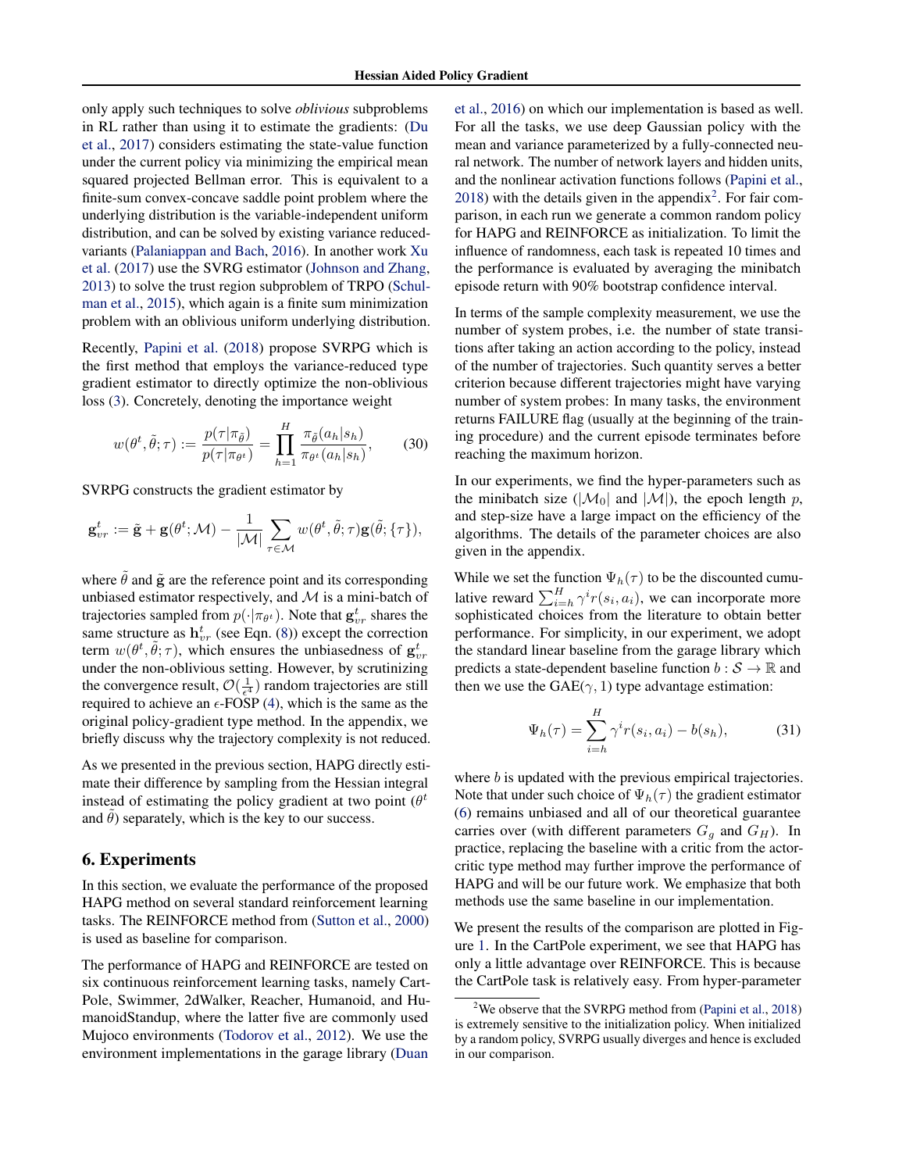<span id="page-6-0"></span>only apply such techniques to solve *oblivious* subproblems in RL rather than using it to estimate the gradients: [\(Du](#page-8-0) [et al.,](#page-8-0) [2017\)](#page-8-0) considers estimating the state-value function under the current policy via minimizing the empirical mean squared projected Bellman error. This is equivalent to a finite-sum convex-concave saddle point problem where the underlying distribution is the variable-independent uniform distribution, and can be solved by existing variance reducedvariants [\(Palaniappan and Bach,](#page-8-0) [2016\)](#page-8-0). In another work [Xu](#page-9-0) [et al.](#page-9-0) [\(2017\)](#page-9-0) use the SVRG estimator [\(Johnson and Zhang,](#page-8-0) [2013\)](#page-8-0) to solve the trust region subproblem of TRPO [\(Schul](#page-8-0)[man et al.,](#page-8-0) [2015\)](#page-8-0), which again is a finite sum minimization problem with an oblivious uniform underlying distribution.

Recently, [Papini et al.](#page-8-0) [\(2018\)](#page-8-0) propose SVRPG which is the first method that employs the variance-reduced type gradient estimator to directly optimize the non-oblivious loss [\(3\)](#page-1-0). Concretely, denoting the importance weight

$$
w(\theta^t, \tilde{\theta}; \tau) := \frac{p(\tau | \pi_{\tilde{\theta}})}{p(\tau | \pi_{\theta^t})} = \prod_{h=1}^H \frac{\pi_{\tilde{\theta}}(a_h | s_h)}{\pi_{\theta^t}(a_h | s_h)},
$$
(30)

SVRPG constructs the gradient estimator by

$$
\mathbf{g}_{vr}^t:=\tilde{\mathbf{g}}+\mathbf{g}(\theta^t;\mathcal{M})-\frac{1}{|\mathcal{M}|}\sum_{\tau\in\mathcal{M}}w(\theta^t,\tilde{\theta};\tau)\mathbf{g}(\tilde{\theta};\{\tau\}),
$$

where  $\hat{\theta}$  and  $\tilde{g}$  are the reference point and its corresponding unbiased estimator respectively, and  $M$  is a mini-batch of trajectories sampled from  $p(\cdot | \pi_{\theta^t})$ . Note that  $\mathbf{g}_{vr}^t$  shares the same structure as  $h_{vr}^t$  (see Eqn. [\(8\)](#page-1-0)) except the correction term  $w(\theta^t, \tilde{\theta}; \tau)$ , which ensures the unbiasedness of  $g_{vr}^t$ under the non-oblivious setting. However, by scrutinizing the convergence result,  $\mathcal{O}(\frac{1}{\epsilon^4})$  random trajectories are still required to achieve an  $\epsilon$ -FOSP [\(4\)](#page-1-0), which is the same as the original policy-gradient type method. In the appendix, we briefly discuss why the trajectory complexity is not reduced.

As we presented in the previous section, HAPG directly estimate their difference by sampling from the Hessian integral instead of estimating the policy gradient at two point  $(\theta^t)$ and  $\theta$ ) separately, which is the key to our success.

# 6. Experiments

In this section, we evaluate the performance of the proposed HAPG method on several standard reinforcement learning tasks. The REINFORCE method from [\(Sutton et al.,](#page-8-0) [2000\)](#page-8-0) is used as baseline for comparison.

The performance of HAPG and REINFORCE are tested on six continuous reinforcement learning tasks, namely Cart-Pole, Swimmer, 2dWalker, Reacher, Humanoid, and HumanoidStandup, where the latter five are commonly used Mujoco environments [\(Todorov et al.,](#page-8-0) [2012\)](#page-8-0). We use the environment implementations in the garage library [\(Duan](#page-8-0)

[et al.,](#page-8-0) [2016\)](#page-8-0) on which our implementation is based as well. For all the tasks, we use deep Gaussian policy with the mean and variance parameterized by a fully-connected neural network. The number of network layers and hidden units, and the nonlinear activation functions follows [\(Papini et al.,](#page-8-0)  $2018$ ) with the details given in the appendix<sup>2</sup>. For fair comparison, in each run we generate a common random policy for HAPG and REINFORCE as initialization. To limit the influence of randomness, each task is repeated 10 times and the performance is evaluated by averaging the minibatch episode return with 90% bootstrap confidence interval.

In terms of the sample complexity measurement, we use the number of system probes, i.e. the number of state transitions after taking an action according to the policy, instead of the number of trajectories. Such quantity serves a better criterion because different trajectories might have varying number of system probes: In many tasks, the environment returns FAILURE flag (usually at the beginning of the training procedure) and the current episode terminates before reaching the maximum horizon.

In our experiments, we find the hyper-parameters such as the minibatch size ( $|\mathcal{M}_0|$  and  $|\mathcal{M}|$ ), the epoch length p, and step-size have a large impact on the efficiency of the algorithms. The details of the parameter choices are also given in the appendix.

While we set the function  $\Psi_h(\tau)$  to be the discounted cumulative reward  $\sum_{i=h}^{H} \gamma^{i} r(s_i, a_i)$ , we can incorporate more sophisticated choices from the literature to obtain better performance. For simplicity, in our experiment, we adopt the standard linear baseline from the garage library which predicts a state-dependent baseline function  $b : \mathcal{S} \to \mathbb{R}$  and then we use the  $GAE(\gamma, 1)$  type advantage estimation:

$$
\Psi_h(\tau) = \sum_{i=h}^H \gamma^i r(s_i, a_i) - b(s_h), \tag{31}
$$

where *b* is updated with the previous empirical trajectories. Note that under such choice of  $\Psi_h(\tau)$  the gradient estimator [\(6\)](#page-1-0) remains unbiased and all of our theoretical guarantee carries over (with different parameters  $G_g$  and  $G_H$ ). In practice, replacing the baseline with a critic from the actorcritic type method may further improve the performance of HAPG and will be our future work. We emphasize that both methods use the same baseline in our implementation.

We present the results of the comparison are plotted in Figure [1.](#page-7-0) In the CartPole experiment, we see that HAPG has only a little advantage over REINFORCE. This is because the CartPole task is relatively easy. From hyper-parameter

<sup>&</sup>lt;sup>2</sup>We observe that the SVRPG method from [\(Papini et al.,](#page-8-0) [2018\)](#page-8-0) is extremely sensitive to the initialization policy. When initialized by a random policy, SVRPG usually diverges and hence is excluded in our comparison.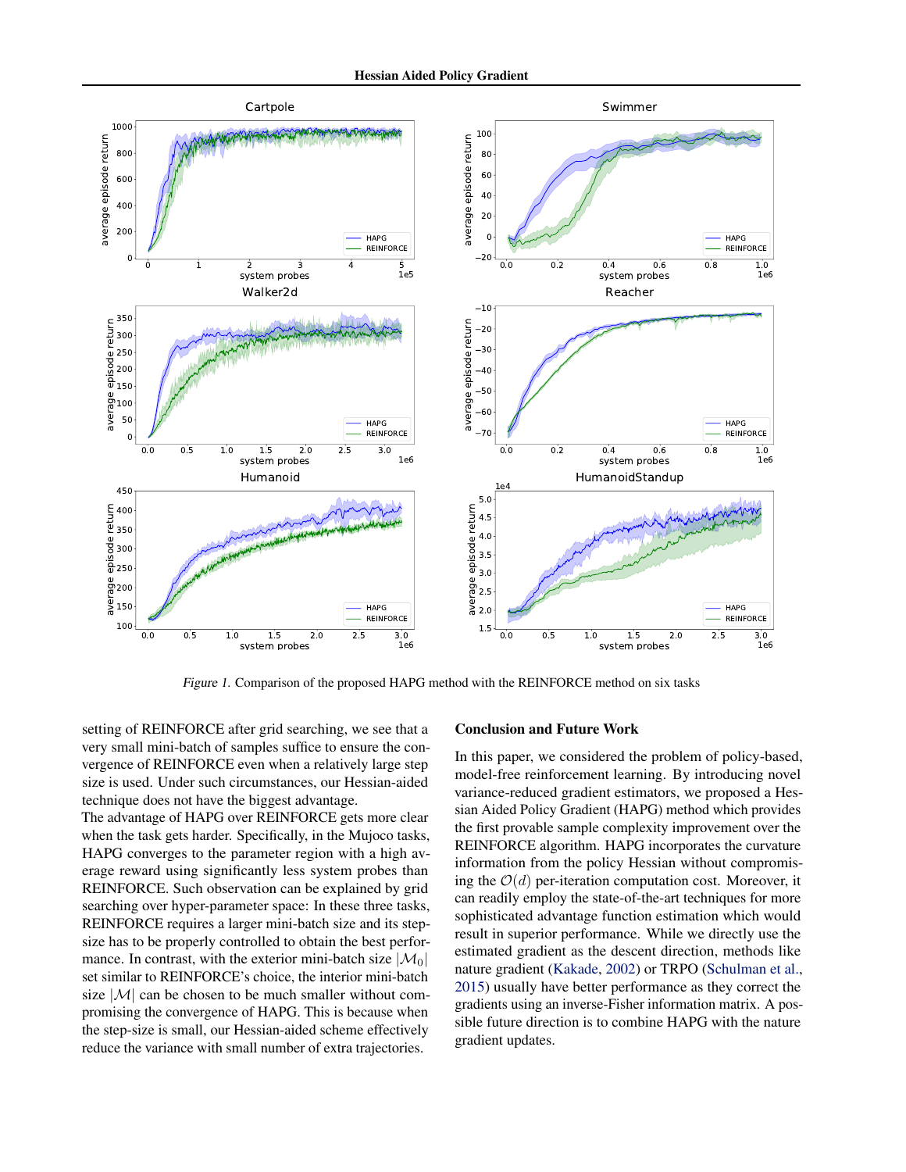<span id="page-7-0"></span>

Figure 1. Comparison of the proposed HAPG method with the REINFORCE method on six tasks

setting of REINFORCE after grid searching, we see that a very small mini-batch of samples suffice to ensure the convergence of REINFORCE even when a relatively large step size is used. Under such circumstances, our Hessian-aided technique does not have the biggest advantage.

The advantage of HAPG over REINFORCE gets more clear when the task gets harder. Specifically, in the Mujoco tasks, HAPG converges to the parameter region with a high average reward using significantly less system probes than REINFORCE. Such observation can be explained by grid searching over hyper-parameter space: In these three tasks, REINFORCE requires a larger mini-batch size and its stepsize has to be properly controlled to obtain the best performance. In contrast, with the exterior mini-batch size  $|\mathcal{M}_0|$ set similar to REINFORCE's choice, the interior mini-batch size  $|M|$  can be chosen to be much smaller without compromising the convergence of HAPG. This is because when the step-size is small, our Hessian-aided scheme effectively reduce the variance with small number of extra trajectories.

### Conclusion and Future Work

In this paper, we considered the problem of policy-based, model-free reinforcement learning. By introducing novel variance-reduced gradient estimators, we proposed a Hessian Aided Policy Gradient (HAPG) method which provides the first provable sample complexity improvement over the REINFORCE algorithm. HAPG incorporates the curvature information from the policy Hessian without compromising the  $\mathcal{O}(d)$  per-iteration computation cost. Moreover, it can readily employ the state-of-the-art techniques for more sophisticated advantage function estimation which would result in superior performance. While we directly use the estimated gradient as the descent direction, methods like nature gradient [\(Kakade,](#page-8-0) [2002\)](#page-8-0) or TRPO [\(Schulman et al.,](#page-8-0) [2015\)](#page-8-0) usually have better performance as they correct the gradients using an inverse-Fisher information matrix. A possible future direction is to combine HAPG with the nature gradient updates.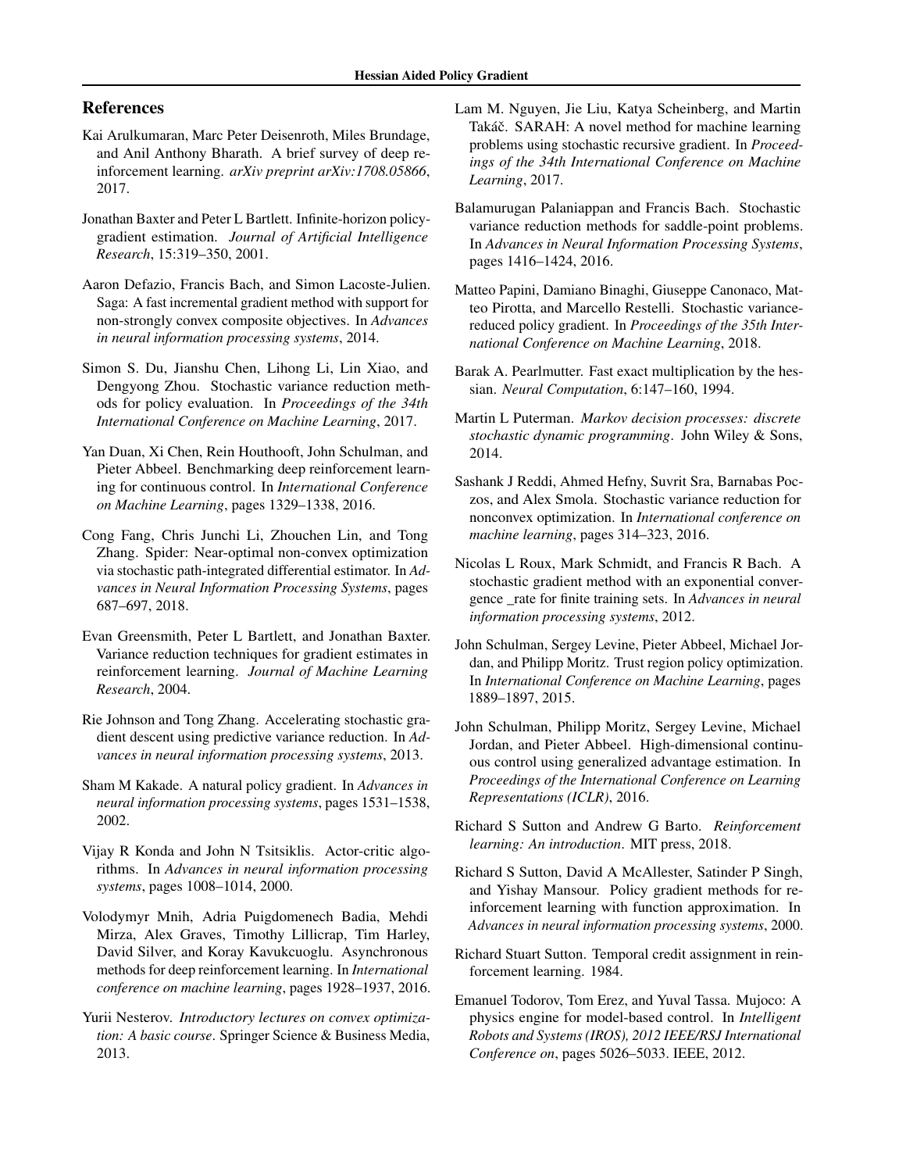# <span id="page-8-0"></span>References

- Kai Arulkumaran, Marc Peter Deisenroth, Miles Brundage, and Anil Anthony Bharath. A brief survey of deep reinforcement learning. *arXiv preprint arXiv:1708.05866*, 2017.
- Jonathan Baxter and Peter L Bartlett. Infinite-horizon policygradient estimation. *Journal of Artificial Intelligence Research*, 15:319–350, 2001.
- Aaron Defazio, Francis Bach, and Simon Lacoste-Julien. Saga: A fast incremental gradient method with support for non-strongly convex composite objectives. In *Advances in neural information processing systems*, 2014.
- Simon S. Du, Jianshu Chen, Lihong Li, Lin Xiao, and Dengyong Zhou. Stochastic variance reduction methods for policy evaluation. In *Proceedings of the 34th International Conference on Machine Learning*, 2017.
- Yan Duan, Xi Chen, Rein Houthooft, John Schulman, and Pieter Abbeel. Benchmarking deep reinforcement learning for continuous control. In *International Conference on Machine Learning*, pages 1329–1338, 2016.
- Cong Fang, Chris Junchi Li, Zhouchen Lin, and Tong Zhang. Spider: Near-optimal non-convex optimization via stochastic path-integrated differential estimator. In *Advances in Neural Information Processing Systems*, pages 687–697, 2018.
- Evan Greensmith, Peter L Bartlett, and Jonathan Baxter. Variance reduction techniques for gradient estimates in reinforcement learning. *Journal of Machine Learning Research*, 2004.
- Rie Johnson and Tong Zhang. Accelerating stochastic gradient descent using predictive variance reduction. In *Advances in neural information processing systems*, 2013.
- Sham M Kakade. A natural policy gradient. In *Advances in neural information processing systems*, pages 1531–1538, 2002.
- Vijay R Konda and John N Tsitsiklis. Actor-critic algorithms. In *Advances in neural information processing systems*, pages 1008–1014, 2000.
- Volodymyr Mnih, Adria Puigdomenech Badia, Mehdi Mirza, Alex Graves, Timothy Lillicrap, Tim Harley, David Silver, and Koray Kavukcuoglu. Asynchronous methods for deep reinforcement learning. In *International conference on machine learning*, pages 1928–1937, 2016.
- Yurii Nesterov. *Introductory lectures on convex optimization: A basic course*. Springer Science & Business Media, 2013.
- Lam M. Nguyen, Jie Liu, Katya Scheinberg, and Martin Takáč. SARAH: A novel method for machine learning problems using stochastic recursive gradient. In *Proceedings of the 34th International Conference on Machine Learning*, 2017.
- Balamurugan Palaniappan and Francis Bach. Stochastic variance reduction methods for saddle-point problems. In *Advances in Neural Information Processing Systems*, pages 1416–1424, 2016.
- Matteo Papini, Damiano Binaghi, Giuseppe Canonaco, Matteo Pirotta, and Marcello Restelli. Stochastic variancereduced policy gradient. In *Proceedings of the 35th International Conference on Machine Learning*, 2018.
- Barak A. Pearlmutter. Fast exact multiplication by the hessian. *Neural Computation*, 6:147–160, 1994.
- Martin L Puterman. *Markov decision processes: discrete stochastic dynamic programming*. John Wiley & Sons, 2014.
- Sashank J Reddi, Ahmed Hefny, Suvrit Sra, Barnabas Poczos, and Alex Smola. Stochastic variance reduction for nonconvex optimization. In *International conference on machine learning*, pages 314–323, 2016.
- Nicolas L Roux, Mark Schmidt, and Francis R Bach. A stochastic gradient method with an exponential convergence \_rate for finite training sets. In *Advances in neural information processing systems*, 2012.
- John Schulman, Sergey Levine, Pieter Abbeel, Michael Jordan, and Philipp Moritz. Trust region policy optimization. In *International Conference on Machine Learning*, pages 1889–1897, 2015.
- John Schulman, Philipp Moritz, Sergey Levine, Michael Jordan, and Pieter Abbeel. High-dimensional continuous control using generalized advantage estimation. In *Proceedings of the International Conference on Learning Representations (ICLR)*, 2016.
- Richard S Sutton and Andrew G Barto. *Reinforcement learning: An introduction*. MIT press, 2018.
- Richard S Sutton, David A McAllester, Satinder P Singh, and Yishay Mansour. Policy gradient methods for reinforcement learning with function approximation. In *Advances in neural information processing systems*, 2000.
- Richard Stuart Sutton. Temporal credit assignment in reinforcement learning. 1984.
- Emanuel Todorov, Tom Erez, and Yuval Tassa. Mujoco: A physics engine for model-based control. In *Intelligent Robots and Systems (IROS), 2012 IEEE/RSJ International Conference on*, pages 5026–5033. IEEE, 2012.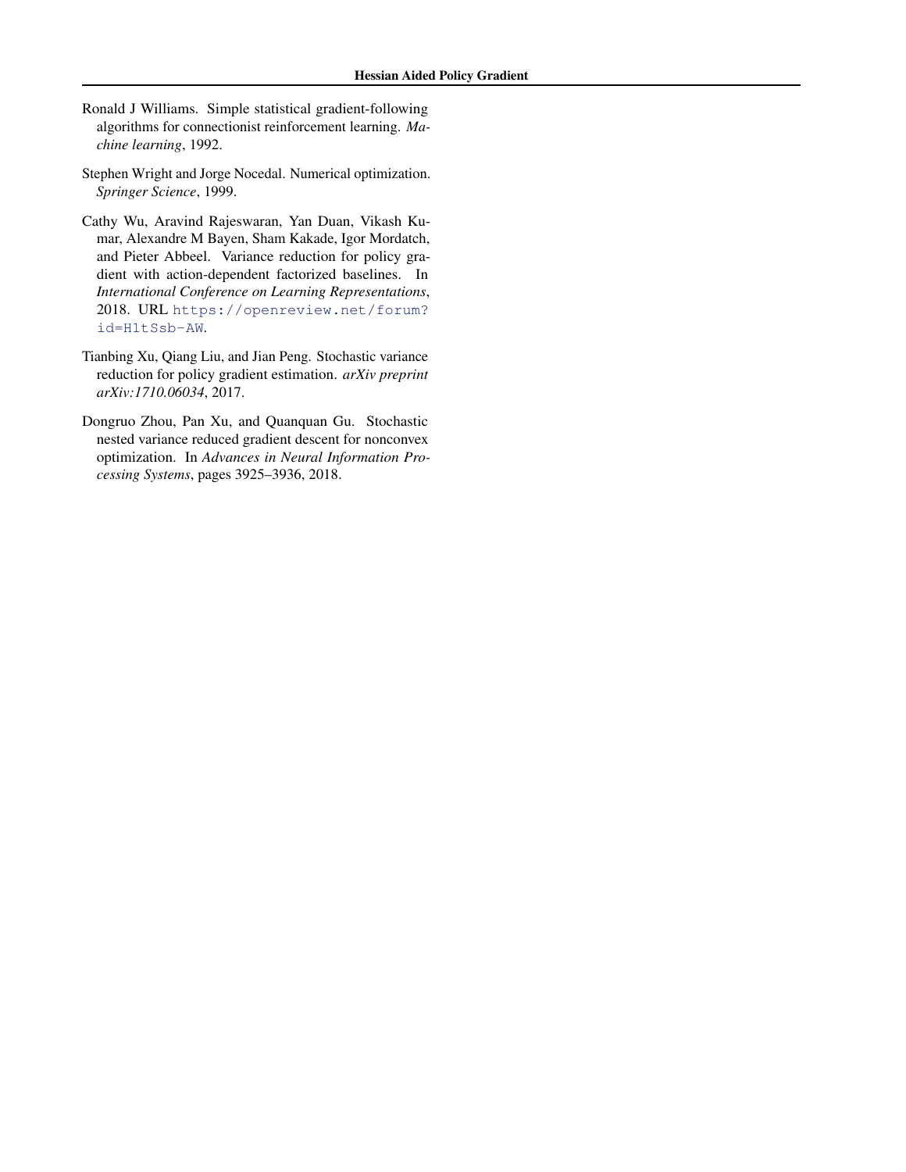- <span id="page-9-0"></span>Ronald J Williams. Simple statistical gradient-following algorithms for connectionist reinforcement learning. *Machine learning*, 1992.
- Stephen Wright and Jorge Nocedal. Numerical optimization. *Springer Science*, 1999.
- Cathy Wu, Aravind Rajeswaran, Yan Duan, Vikash Kumar, Alexandre M Bayen, Sham Kakade, Igor Mordatch, and Pieter Abbeel. Variance reduction for policy gradient with action-dependent factorized baselines. In *International Conference on Learning Representations*, 2018. URL [https://openreview.net/forum?](https://openreview.net/forum?id=H1tSsb-AW) [id=H1tSsb-AW](https://openreview.net/forum?id=H1tSsb-AW).
- Tianbing Xu, Qiang Liu, and Jian Peng. Stochastic variance reduction for policy gradient estimation. *arXiv preprint arXiv:1710.06034*, 2017.
- Dongruo Zhou, Pan Xu, and Quanquan Gu. Stochastic nested variance reduced gradient descent for nonconvex optimization. In *Advances in Neural Information Processing Systems*, pages 3925–3936, 2018.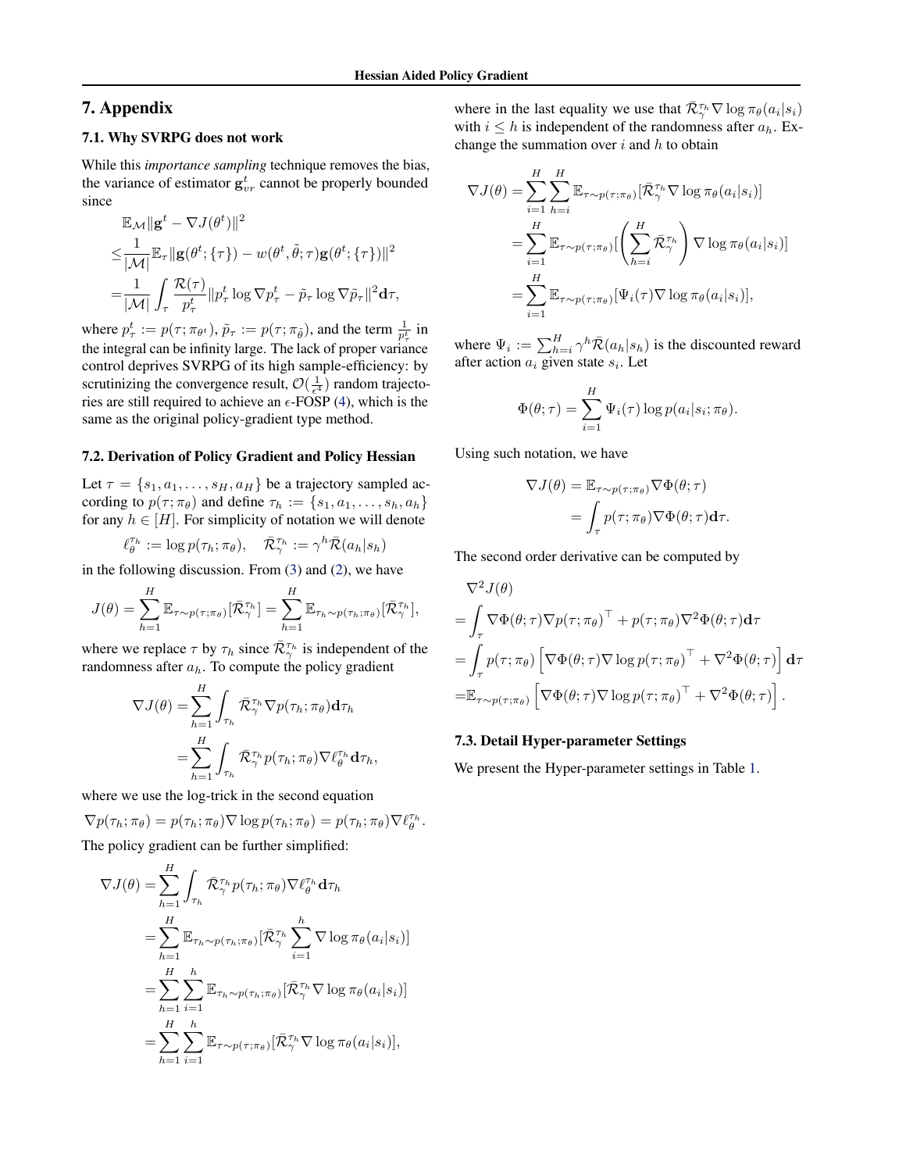# 7. Appendix

## 7.1. Why SVRPG does not work

While this *importance sampling* technique removes the bias, the variance of estimator  $g_{vr}^t$  cannot be properly bounded since

$$
\mathbb{E}_{\mathcal{M}} \|\mathbf{g}^{t} - \nabla J(\theta^{t})\|^{2}
$$
\n
$$
\leq \frac{1}{|\mathcal{M}|} \mathbb{E}_{\tau} \|\mathbf{g}(\theta^{t}; \{\tau\}) - w(\theta^{t}, \tilde{\theta}; \tau) \mathbf{g}(\theta^{t}; \{\tau\})\|^{2}
$$
\n
$$
= \frac{1}{|\mathcal{M}|} \int_{\tau} \frac{\mathcal{R}(\tau)}{p_{\tau}^{t}} \|p_{\tau}^{t} \log \nabla p_{\tau}^{t} - \tilde{p}_{\tau} \log \nabla \tilde{p}_{\tau}\|^{2} \mathbf{d}\tau,
$$

where  $p_{\tau}^t := p(\tau; \pi_{\theta^t})$ ,  $\tilde{p}_{\tau} := p(\tau; \pi_{\tilde{\theta}})$ , and the term  $\frac{1}{p_{\tau}^t}$  in the integral can be infinity large. The lack of proper variance control deprives SVRPG of its high sample-efficiency: by scrutinizing the convergence result,  $\mathcal{O}(\frac{1}{\epsilon^4})$  random trajectories are still required to achieve an  $\epsilon$ -FOSP [\(4\)](#page-1-0), which is the same as the original policy-gradient type method.

#### 7.2. Derivation of Policy Gradient and Policy Hessian

Let  $\tau = \{s_1, a_1, \ldots, s_H, a_H\}$  be a trajectory sampled according to  $p(\tau; \pi_\theta)$  and define  $\tau_h := \{s_1, a_1, \ldots, s_h, a_h\}$ for any  $h \in [H]$ . For simplicity of notation we will denote

$$
\ell_{\theta}^{\tau_h} := \log p(\tau_h; \pi_{\theta}), \quad \bar{\mathcal{R}}_{\gamma}^{\tau_h} := \gamma^h \bar{\mathcal{R}}(a_h|s_h)
$$

in the following discussion. From [\(3\)](#page-1-0) and [\(2\)](#page-1-0), we have

$$
J(\theta) = \sum_{h=1}^{H} \mathbb{E}_{\tau \sim p(\tau; \pi_{\theta})} [\bar{\mathcal{R}}_{\gamma}^{\tau_h}] = \sum_{h=1}^{H} \mathbb{E}_{\tau_h \sim p(\tau_h; \pi_{\theta})} [\bar{\mathcal{R}}_{\gamma}^{\tau_h}],
$$

where we replace  $\tau$  by  $\tau_h$  since  $\overline{\mathcal{R}}_{\gamma}^{\tau_h}$  is independent of the randomness after  $a_h$ . To compute the policy gradient

$$
\nabla J(\theta) = \sum_{h=1}^{H} \int_{\tau_h} \bar{\mathcal{R}}_{\gamma}^{\tau_h} \nabla p(\tau_h; \pi_{\theta}) \mathbf{d}\tau_h
$$
  
= 
$$
\sum_{h=1}^{H} \int_{\tau_h} \bar{\mathcal{R}}_{\gamma}^{\tau_h} p(\tau_h; \pi_{\theta}) \nabla \ell_{\theta}^{\tau_h} \mathbf{d}\tau_h,
$$

where we use the log-trick in the second equation

$$
\nabla p(\tau_h; \pi_\theta) = p(\tau_h; \pi_\theta) \nabla \log p(\tau_h; \pi_\theta) = p(\tau_h; \pi_\theta) \nabla \ell_{\theta}^{\tau_h}.
$$

The policy gradient can be further simplified:

$$
\nabla J(\theta) = \sum_{h=1}^{H} \int_{\tau_h} \bar{\mathcal{R}}_{\gamma}^{\tau_h} p(\tau_h; \pi_{\theta}) \nabla \ell_{\theta}^{\tau_h} d\tau_h
$$
  
\n
$$
= \sum_{h=1}^{H} \mathbb{E}_{\tau_h \sim p(\tau_h; \pi_{\theta})} [\bar{\mathcal{R}}_{\gamma}^{\tau_h} \sum_{i=1}^{h} \nabla \log \pi_{\theta}(a_i|s_i)]
$$
  
\n
$$
= \sum_{h=1}^{H} \sum_{i=1}^{h} \mathbb{E}_{\tau_h \sim p(\tau_h; \pi_{\theta})} [\bar{\mathcal{R}}_{\gamma}^{\tau_h} \nabla \log \pi_{\theta}(a_i|s_i)]
$$
  
\n
$$
= \sum_{h=1}^{H} \sum_{i=1}^{h} \mathbb{E}_{\tau \sim p(\tau; \pi_{\theta})} [\bar{\mathcal{R}}_{\gamma}^{\tau_h} \nabla \log \pi_{\theta}(a_i|s_i)],
$$

where in the last equality we use that  $\overline{\mathcal{R}}_{\gamma}^{\tau_h} \nabla \log \pi_{\theta}(a_i|s_i)$ with  $i \leq h$  is independent of the randomness after  $a_h$ . Exchange the summation over  $i$  and  $h$  to obtain

$$
\nabla J(\theta) = \sum_{i=1}^{H} \sum_{h=i}^{H} \mathbb{E}_{\tau \sim p(\tau; \pi_{\theta})} [\bar{\mathcal{R}}_{\gamma}^{\tau_h} \nabla \log \pi_{\theta}(a_i|s_i)]
$$
  
\n
$$
= \sum_{i=1}^{H} \mathbb{E}_{\tau \sim p(\tau; \pi_{\theta})} [\left( \sum_{h=i}^{H} \bar{\mathcal{R}}_{\gamma}^{\tau_h} \right) \nabla \log \pi_{\theta}(a_i|s_i)]
$$
  
\n
$$
= \sum_{i=1}^{H} \mathbb{E}_{\tau \sim p(\tau; \pi_{\theta})} [\Psi_i(\tau) \nabla \log \pi_{\theta}(a_i|s_i)],
$$

where  $\Psi_i := \sum_{h=i}^{H} \gamma^h \bar{\mathcal{R}}(a_h|s_h)$  is the discounted reward after action  $a_i$  given state  $s_i$ . Let

$$
\Phi(\theta; \tau) = \sum_{i=1}^{H} \Psi_i(\tau) \log p(a_i|s_i; \pi_{\theta}).
$$

Using such notation, we have

$$
\nabla J(\theta) = \mathbb{E}_{\tau \sim p(\tau; \pi_{\theta})} \nabla \Phi(\theta; \tau)
$$
  
= 
$$
\int_{\tau} p(\tau; \pi_{\theta}) \nabla \Phi(\theta; \tau) d\tau.
$$

The second order derivative can be computed by

$$
\nabla^2 J(\theta)
$$
  
=  $\int_{\tau} \nabla \Phi(\theta; \tau) \nabla p(\tau; \pi_{\theta})^{\top} + p(\tau; \pi_{\theta}) \nabla^2 \Phi(\theta; \tau) d\tau$   
=  $\int_{\tau} p(\tau; \pi_{\theta}) \left[ \nabla \Phi(\theta; \tau) \nabla \log p(\tau; \pi_{\theta})^{\top} + \nabla^2 \Phi(\theta; \tau) \right] d\tau$   
=  $\mathbb{E}_{\tau \sim p(\tau; \pi_{\theta})} \left[ \nabla \Phi(\theta; \tau) \nabla \log p(\tau; \pi_{\theta})^{\top} + \nabla^2 \Phi(\theta; \tau) \right].$ 

#### 7.3. Detail Hyper-parameter Settings

We present the Hyper-parameter settings in Table [1.](#page-11-0)